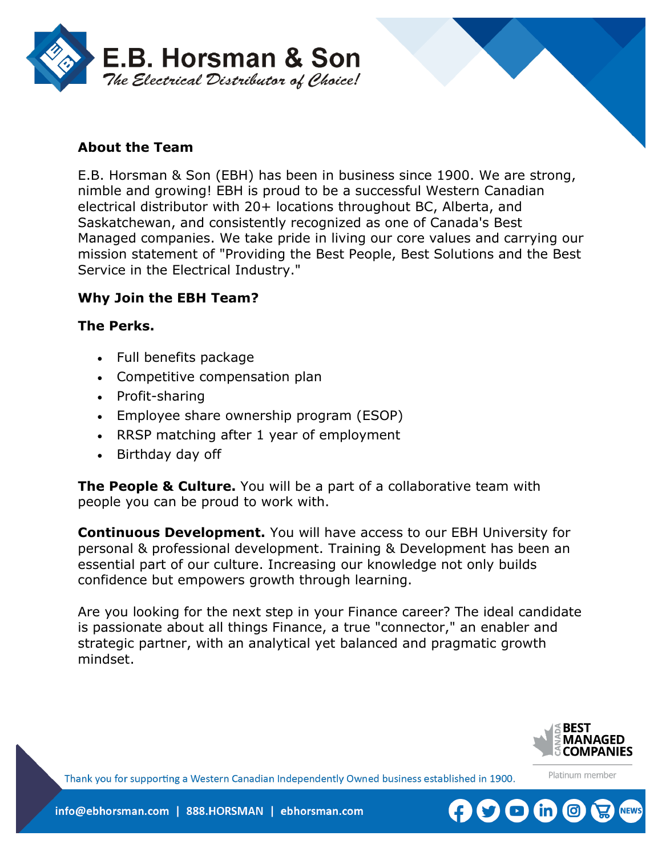



# **About the Team**

E.B. Horsman & Son (EBH) has been in business since 1900. We are strong, nimble and growing! EBH is proud to be a successful Western Canadian electrical distributor with 20+ locations throughout BC, Alberta, and Saskatchewan, and consistently recognized as one of Canada's Best Managed companies. We take pride in living our core values and carrying our mission statement of "Providing the Best People, Best Solutions and the Best Service in the Electrical Industry."

## **Why Join the EBH Team?**

#### **The Perks.**

- Full benefits package
- Competitive compensation plan
- Profit-sharing
- Employee share ownership program (ESOP)
- RRSP matching after 1 year of employment
- Birthday day off

**The People & Culture.** You will be a part of a collaborative team with people you can be proud to work with.

**Continuous Development.** You will have access to our EBH University for personal & professional development. Training & Development has been an essential part of our culture. Increasing our knowledge not only builds confidence but empowers growth through learning.

Are you looking for the next step in your Finance career? The ideal candidate is passionate about all things Finance, a true "connector," an enabler and strategic partner, with an analytical yet balanced and pragmatic growth mindset.



Platinum member

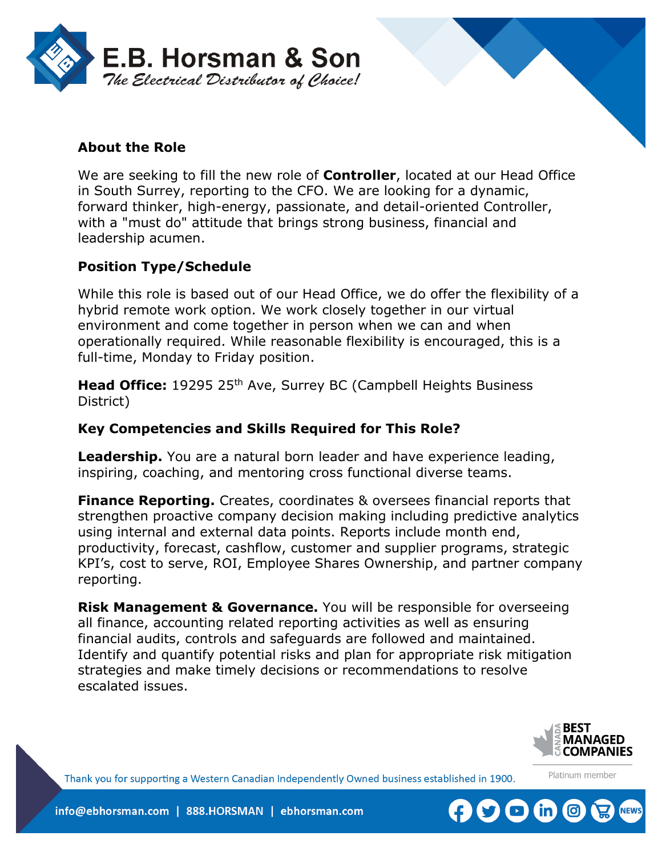

# **About the Role**

We are seeking to fill the new role of **Controller**, located at our Head Office in South Surrey, reporting to the CFO. We are looking for a dynamic, forward thinker, high-energy, passionate, and detail-oriented Controller, with a "must do" attitude that brings strong business, financial and leadership acumen.

## **Position Type/Schedule**

While this role is based out of our Head Office, we do offer the flexibility of a hybrid remote work option. We work closely together in our virtual environment and come together in person when we can and when operationally required. While reasonable flexibility is encouraged, this is a full-time, Monday to Friday position.

**Head Office:** 19295 25<sup>th</sup> Ave, Surrey BC (Campbell Heights Business District)

#### **Key Competencies and Skills Required for This Role?**

**Leadership.** You are a natural born leader and have experience leading, inspiring, coaching, and mentoring cross functional diverse teams.

**Finance Reporting.** Creates, coordinates & oversees financial reports that strengthen proactive company decision making including predictive analytics using internal and external data points. Reports include month end, productivity, forecast, cashflow, customer and supplier programs, strategic KPI's, cost to serve, ROI, Employee Shares Ownership, and partner company reporting.

**Risk Management & Governance.** You will be responsible for overseeing all finance, accounting related reporting activities as well as ensuring financial audits, controls and safeguards are followed and maintained. Identify and quantify potential risks and plan for appropriate risk mitigation strategies and make timely decisions or recommendations to resolve escalated issues.



Platinum member

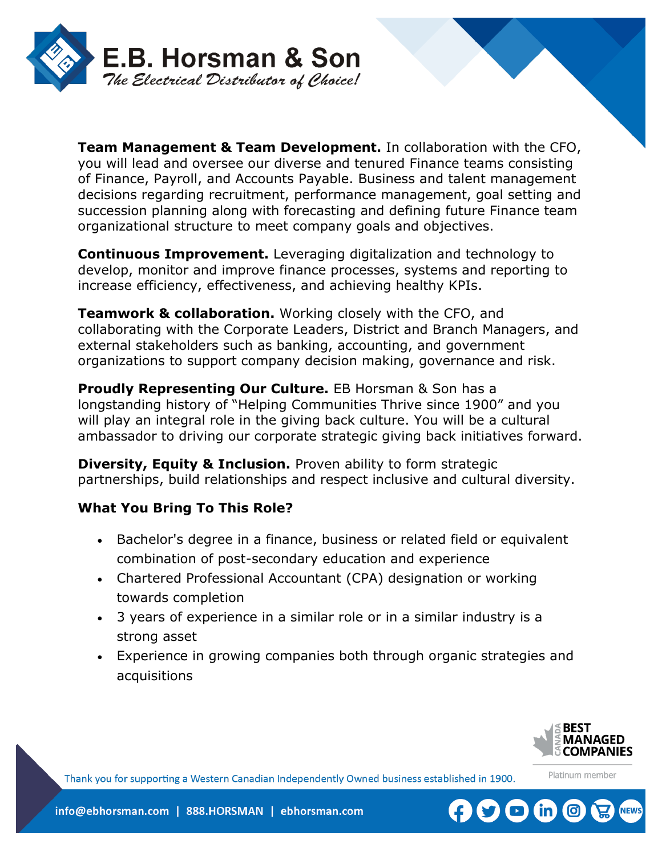

**Team Management & Team Development.** In collaboration with the CFO, you will lead and oversee our diverse and tenured Finance teams consisting of Finance, Payroll, and Accounts Payable. Business and talent management decisions regarding recruitment, performance management, goal setting and succession planning along with forecasting and defining future Finance team organizational structure to meet company goals and objectives.

**Continuous Improvement.** Leveraging digitalization and technology to develop, monitor and improve finance processes, systems and reporting to increase efficiency, effectiveness, and achieving healthy KPIs.

**Teamwork & collaboration.** Working closely with the CFO, and collaborating with the Corporate Leaders, District and Branch Managers, and external stakeholders such as banking, accounting, and government organizations to support company decision making, governance and risk.

**Proudly Representing Our Culture.** EB Horsman & Son has a longstanding history of "Helping Communities Thrive since 1900" and you will play an integral role in the giving back culture. You will be a cultural ambassador to driving our corporate strategic giving back initiatives forward.

**Diversity, Equity & Inclusion.** Proven ability to form strategic partnerships, build relationships and respect inclusive and cultural diversity.

## **What You Bring To This Role?**

- Bachelor's degree in a finance, business or related field or equivalent combination of post-secondary education and experience
- Chartered Professional Accountant (CPA) designation or working towards completion
- 3 years of experience in a similar role or in a similar industry is a strong asset
- Experience in growing companies both through organic strategies and acquisitions



Platinum member

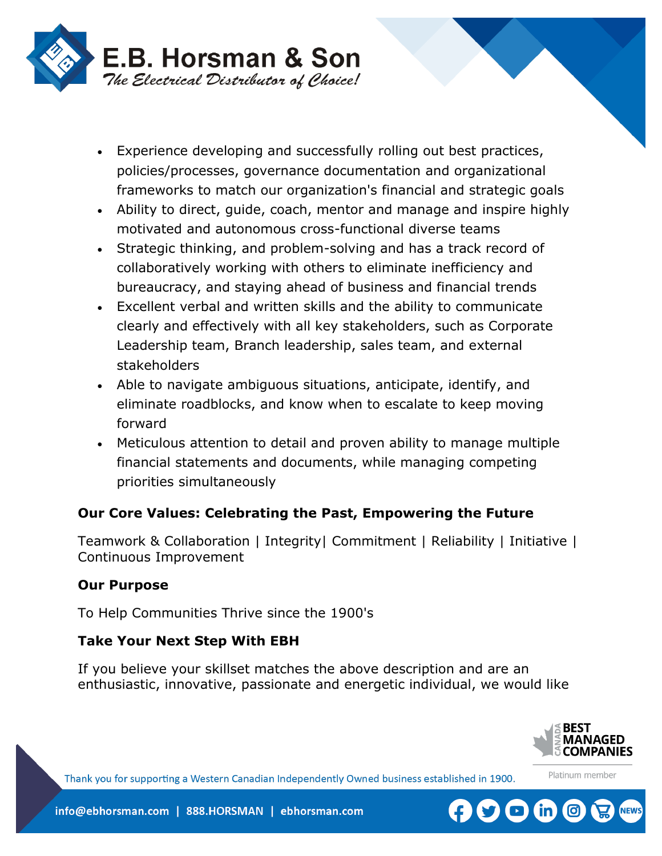

- Experience developing and successfully rolling out best practices, policies/processes, governance documentation and organizational frameworks to match our organization's financial and strategic goals
- Ability to direct, guide, coach, mentor and manage and inspire highly motivated and autonomous cross-functional diverse teams
- Strategic thinking, and problem-solving and has a track record of collaboratively working with others to eliminate inefficiency and bureaucracy, and staying ahead of business and financial trends
- Excellent verbal and written skills and the ability to communicate clearly and effectively with all key stakeholders, such as Corporate Leadership team, Branch leadership, sales team, and external stakeholders
- Able to navigate ambiguous situations, anticipate, identify, and eliminate roadblocks, and know when to escalate to keep moving forward
- Meticulous attention to detail and proven ability to manage multiple financial statements and documents, while managing competing priorities simultaneously

## **Our Core Values: Celebrating the Past, Empowering the Future**

Teamwork & Collaboration | Integrity| Commitment | Reliability | Initiative | Continuous Improvement

#### **Our Purpose**

To Help Communities Thrive since the 1900's

## **Take Your Next Step With EBH**

If you believe your skillset matches the above description and are an enthusiastic, innovative, passionate and energetic individual, we would like



Platinum member